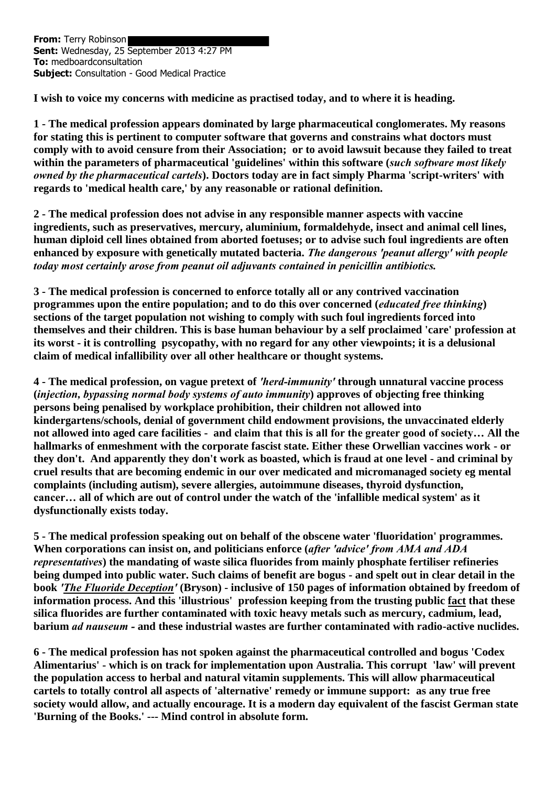**From:** Terry Robinson Sent: Wednesday, 25 September 2013 4:27 PM **To:** medboardconsultation **Subject:** Consultation - Good Medical Practice

**I wish to voice my concerns with medicine as practised today, and to where it is heading.**

**1 - The medical profession appears dominated by large pharmaceutical conglomerates. My reasons for stating this is pertinent to computer software that governs and constrains what doctors must comply with to avoid censure from their Association; or to avoid lawsuit because they failed to treat within the parameters of pharmaceutical 'guidelines' within this software (***such software most likely owned by the pharmaceutical cartels***). Doctors today are in fact simply Pharma 'script-writers' with regards to 'medical health care,' by any reasonable or rational definition.**

**2 - The medical profession does not advise in any responsible manner aspects with vaccine ingredients, such as preservatives, mercury, aluminium, formaldehyde, insect and animal cell lines, human diploid cell lines obtained from aborted foetuses; or to advise such foul ingredients are often enhanced by exposure with genetically mutated bacteria.** *The dangerous 'peanut allergy' with people today most certainly arose from peanut oil adjuvants contained in penicillin antibiotics.*

**3 - The medical profession is concerned to enforce totally all or any contrived vaccination programmes upon the entire population; and to do this over concerned (***educated free thinking***) sections of the target population not wishing to comply with such foul ingredients forced into themselves and their children. This is base human behaviour by a self proclaimed 'care' profession at its worst - it is controlling psycopathy, with no regard for any other viewpoints; it is a delusional claim of medical infallibility over all other healthcare or thought systems.** 

**4 - The medical profession, on vague pretext of** *'herd-immunity'* **through unnatural vaccine process (***injection, bypassing normal body systems of auto immunity***) approves of objecting free thinking persons being penalised by workplace prohibition, their children not allowed into kindergartens/schools, denial of government child endowment provisions, the unvaccinated elderly not allowed into aged care facilities - and claim that this is all for the greater good of society… All the hallmarks of enmeshment with the corporate fascist state. Either these Orwellian vaccines work - or they don't. And apparently they don't work as boasted, which is fraud at one level - and criminal by cruel results that are becoming endemic in our over medicated and micromanaged society eg mental complaints (including autism), severe allergies, autoimmune diseases, thyroid dysfunction, cancer… all of which are out of control under the watch of the 'infallible medical system' as it dysfunctionally exists today.**

**5 - The medical profession speaking out on behalf of the obscene water 'fluoridation' programmes. When corporations can insist on, and politicians enforce (***after 'advice' from AMA and ADA representatives***) the mandating of waste silica fluorides from mainly phosphate fertiliser refineries being dumped into public water. Such claims of benefit are bogus - and spelt out in clear detail in the book** *'The Fluoride Deception'* **(Bryson) - inclusive of 150 pages of information obtained by freedom of information process. And this 'illustrious' profession keeping from the trusting public fact that these silica fluorides are further contaminated with toxic heavy metals such as mercury, cadmium, lead, barium** *ad nauseum -* **and these industrial wastes are further contaminated with radio-active nuclides.**

**6 - The medical profession has not spoken against the pharmaceutical controlled and bogus 'Codex Alimentarius' - which is on track for implementation upon Australia. This corrupt 'law' will prevent the population access to herbal and natural vitamin supplements. This will allow pharmaceutical cartels to totally control all aspects of 'alternative' remedy or immune support: as any true free society would allow, and actually encourage. It is a modern day equivalent of the fascist German state 'Burning of the Books.' --- Mind control in absolute form.**